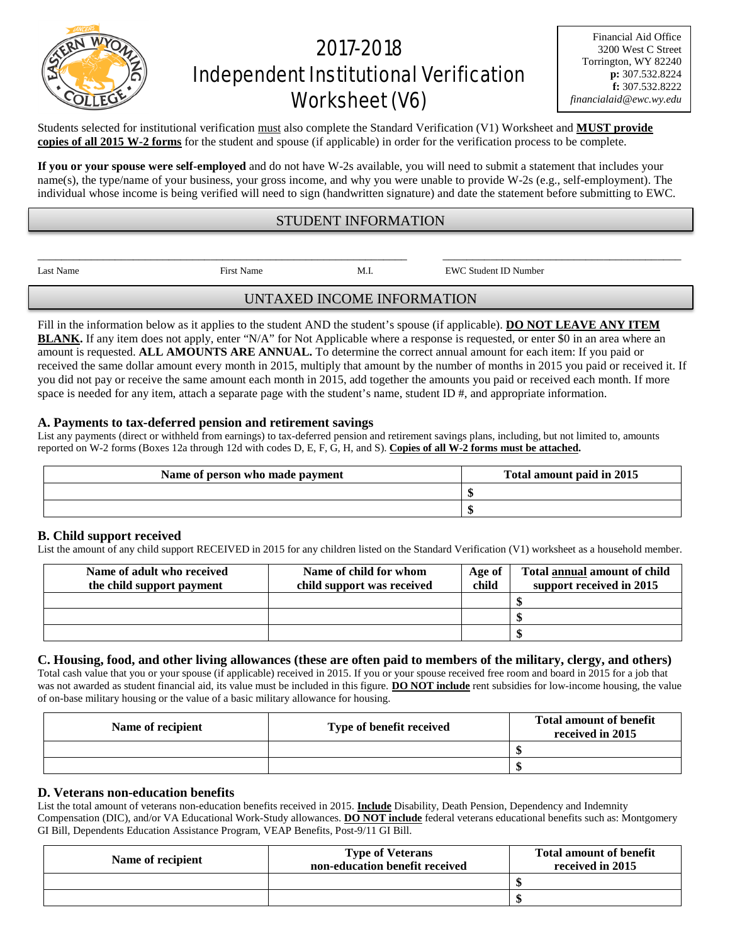# 2017-2018 Independent Institutional Verification Worksheet (V6)

Financial Aid Office 3200 West C Street Torrington, WY 82240 **p:** 307.532.8224 **f:** 307.532.8222 *financialaid@ewc.wy.edu*

Students selected for institutional verification must also complete the Standard Verification (V1) Worksheet and **MUST provide copies of all 2015 W-2 forms** for the student and spouse (if applicable) in order for the verification process to be complete.

**If you or your spouse were self-employed** and do not have W-2s available, you will need to submit a statement that includes your name(s), the type/name of your business, your gross income, and why you were unable to provide W-2s (e.g., self-employment). The individual whose income is being verified will need to sign (handwritten signature) and date the statement before submitting to EWC.

## STUDENT INFORMATION

\_\_\_\_\_\_\_\_\_\_\_\_\_\_\_\_\_\_\_\_\_\_\_\_\_\_\_\_\_\_\_\_\_\_\_\_\_\_\_\_\_\_\_\_\_\_\_\_\_\_\_\_\_\_\_\_\_\_\_\_\_\_ \_\_\_\_\_\_\_\_\_\_\_\_\_\_\_\_\_\_\_\_\_\_\_\_\_\_\_\_\_\_\_\_\_\_\_\_\_\_\_\_

Last Name First Name First Name M.I. EWC Student ID Number

UNTAXED INCOME INFORMATION

Fill in the information below as it applies to the student AND the student's spouse (if applicable). **DO NOT LEAVE ANY ITEM BLANK.** If any item does not apply, enter "N/A" for Not Applicable where a response is requested, or enter \$0 in an area where an amount is requested. **ALL AMOUNTS ARE ANNUAL.** To determine the correct annual amount for each item: If you paid or received the same dollar amount every month in 2015, multiply that amount by the number of months in 2015 you paid or received it. If you did not pay or receive the same amount each month in 2015, add together the amounts you paid or received each month. If more space is needed for any item, attach a separate page with the student's name, student  $ID \#$ , and appropriate information.

## **A. Payments to tax-deferred pension and retirement savings**

List any payments (direct or withheld from earnings) to tax-deferred pension and retirement savings plans, including, but not limited to, amounts reported on W-2 forms (Boxes 12a through 12d with codes D, E, F, G, H, and S). **Copies of all W-2 forms must be attached.**

| Name of person who made payment | Total amount paid in 2015 |  |
|---------------------------------|---------------------------|--|
|                                 |                           |  |
|                                 |                           |  |

#### **B. Child support received**

List the amount of any child support RECEIVED in 2015 for any children listed on the Standard Verification (V1) worksheet as a household member.

| Name of adult who received<br>the child support payment | Name of child for whom<br>child support was received | Age of<br>child | <b>Total annual amount of child</b><br>support received in 2015 |
|---------------------------------------------------------|------------------------------------------------------|-----------------|-----------------------------------------------------------------|
|                                                         |                                                      |                 |                                                                 |
|                                                         |                                                      |                 |                                                                 |
|                                                         |                                                      |                 |                                                                 |

#### **C. Housing, food, and other living allowances (these are often paid to members of the military, clergy, and others)**

Total cash value that you or your spouse (if applicable) received in 2015. If you or your spouse received free room and board in 2015 for a job that was not awarded as student financial aid, its value must be included in this figure. **DO NOT include** rent subsidies for low-income housing, the value of on-base military housing or the value of a basic military allowance for housing.

| Name of recipient | Type of benefit received | <b>Total amount of benefit</b><br>received in 2015 |
|-------------------|--------------------------|----------------------------------------------------|
|                   |                          |                                                    |
|                   |                          |                                                    |

## **D. Veterans non-education benefits**

List the total amount of veterans non-education benefits received in 2015. **Include** Disability, Death Pension, Dependency and Indemnity Compensation (DIC), and/or VA Educational Work-Study allowances. **DO NOT include** federal veterans educational benefits such as: Montgomery GI Bill, Dependents Education Assistance Program, VEAP Benefits, Post-9/11 GI Bill.

| Name of recipient | <b>Type of Veterans</b><br>non-education benefit received | <b>Total amount of benefit</b><br>received in 2015 |
|-------------------|-----------------------------------------------------------|----------------------------------------------------|
|                   |                                                           |                                                    |
|                   |                                                           |                                                    |